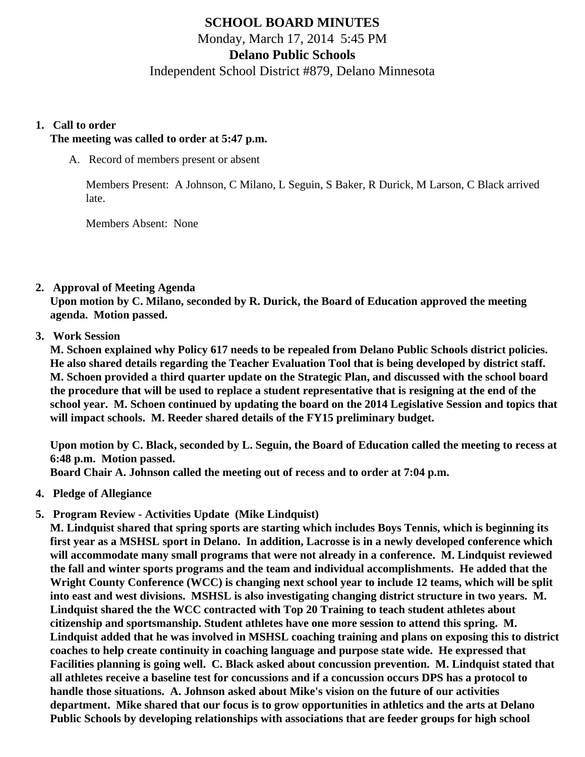# **SCHOOL BOARD MINUTES**

Monday, March 17, 2014 5:45 PM

# **Delano Public Schools**

Independent School District #879, Delano Minnesota

#### **1. Call to order**

### **The meeting was called to order at 5:47 p.m.**

A. Record of members present or absent

Members Present: A Johnson, C Milano, L Seguin, S Baker, R Durick, M Larson, C Black arrived late.

Members Absent: None

## **2. Approval of Meeting Agenda**

**Upon motion by C. Milano, seconded by R. Durick, the Board of Education approved the meeting agenda. Motion passed.**

## **3. Work Session**

**M. Schoen explained why Policy 617 needs to be repealed from Delano Public Schools district policies. He also shared details regarding the Teacher Evaluation Tool that is being developed by district staff. M. Schoen provided a third quarter update on the Strategic Plan, and discussed with the school board the procedure that will be used to replace a student representative that is resigning at the end of the school year. M. Schoen continued by updating the board on the 2014 Legislative Session and topics that will impact schools. M. Reeder shared details of the FY15 preliminary budget.**

**Upon motion by C. Black, seconded by L. Seguin, the Board of Education called the meeting to recess at 6:48 p.m. Motion passed.**

**Board Chair A. Johnson called the meeting out of recess and to order at 7:04 p.m.**

- **4. Pledge of Allegiance**
- **5. Program Review Activities Update (Mike Lindquist)**

**M. Lindquist shared that spring sports are starting which includes Boys Tennis, which is beginning its first year as a MSHSL sport in Delano. In addition, Lacrosse is in a newly developed conference which will accommodate many small programs that were not already in a conference. M. Lindquist reviewed the fall and winter sports programs and the team and individual accomplishments. He added that the Wright County Conference (WCC) is changing next school year to include 12 teams, which will be split into east and west divisions. MSHSL is also investigating changing district structure in two years. M. Lindquist shared the the WCC contracted with Top 20 Training to teach student athletes about citizenship and sportsmanship. Student athletes have one more session to attend this spring. M. Lindquist added that he was involved in MSHSL coaching training and plans on exposing this to district coaches to help create continuity in coaching language and purpose state wide. He expressed that Facilities planning is going well. C. Black asked about concussion prevention. M. Lindquist stated that all athletes receive a baseline test for concussions and if a concussion occurs DPS has a protocol to handle those situations. A. Johnson asked about Mike's vision on the future of our activities department. Mike shared that our focus is to grow opportunities in athletics and the arts at Delano Public Schools by developing relationships with associations that are feeder groups for high school**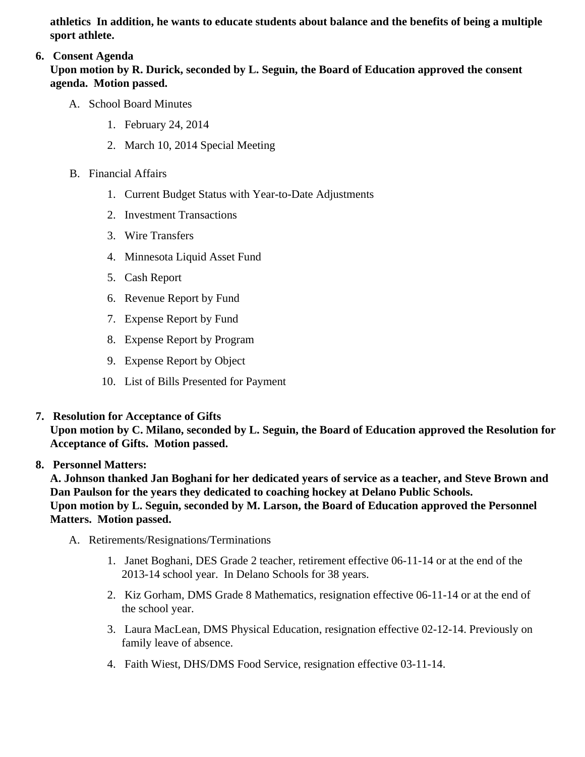athletics In addition, he wants to educate students about balance and the benefits of being a multiple sport athlete.

# 6. Consent Agenda

Upon motion by R. Durick, seconded by L. Seguin, the Board of Education approved the consent agenda. Motion passed.

- A. School Board Minutes
	- 1. [February 24, 201](/docs/district/Business_Office/School_Board_Minutes_2.24.14.pdf)4
	- 2. [March 10, 201](/docs/district/Business_Office/Board_Minutes_3.10.14.pdf)4Special Meeting
- B. Financial Affairs
	- 1. [Current Budget Statu](/docs/district/Business_Office/Budget_Report_Mar_14.pdf)s ith Year-to-Date Adjustments
	- 2. [Investment Transactio](/docs/district/Business_Office/Investment_schedule_13-14.pdf )ns
	- 3. [Wire Transfer](/docs/district/Business_Office/Wire_Transfer.pdf )s
	- 4. [Minnesota Liquid Asset Fun](/docs/district/Business_Office/Liq_AFY14.pdf)d
	- 5. [Cash Repo](/docs/district/Business_Office/Cash_Report.pdf  )rt
	- 6. [Revenue Report by Fu](/docs/district/Business_Office/SCHOOL_BOARD_REPORTS_-_REVENUE_BY_FUND_TOTAL__(Date__6_2014).pdf)nd
	- 7. [Expense Report by Fu](/docs/district/Business_Office/SCHOOL_BOARD_REPORTS_-_EXP_BY_FUND_TOTAL__(Date__6_2014).pdf)nd
	- 8. [Expense Report by Progra](/docs/district/Business_Office/SCHOOL_BOARD_REPORTS_-_EXPENDITURES_BY_PROGRAM__(Date__6_2014).pdf)m
	- 9. [Expense Report by Obje](/docs/district/Business_Office/SCHOOL_BOARD_REPORTS_-_EXPENDITURES_BY_OBJECT__(Date__6_2014).pdf)ct
	- 10. [List of Bills Presented for Payme](/docs/district/Business_Office/Detail_of_Monthly_Bills_Paid.pdf)nt
- 7. [Resolution for Acceptance of Gifts](/docs/district/Business_Office/Resolution_for_Acceptance_of_Gifts_3.17.14.pdf)

Upon motion by C. Milano, seconded by L. Seguin, the Board of Education approved the Resolution for Acceptance of Gifts. Motion passed.

# 8. Personnel Matters:

A. Johnson thanked Jan Boghani for her dedicated years of service as a teacher, and Steve Brown and Dan Paulson for the years they dedicated to coaching hockey at Delano Public Schools. Upon motion by L. Seguin, seconded by M. Larson, the Board of Education approved the Personnel Matters. Motion passed.

- A. Retirements/Resignations/Terminations
	- 1. Janet Boghani, DES Grade 2 teacher, retirement effective 06-11-14 or at the end of the 2013-14 school year. In Delano Schools for 38 years.
	- 2. Kiz Gorham, DMS Grade 8 Mathematics, resignation effective 06-11-14 or at the end of the school year.
	- 3. Laura MacLean, DMS Physical Education, resignation effective 02-12-14. Previously on family leave of absence.
	- 4. Faith Wiest, DHS/DMS Food Service, resignation effective 03-11-14.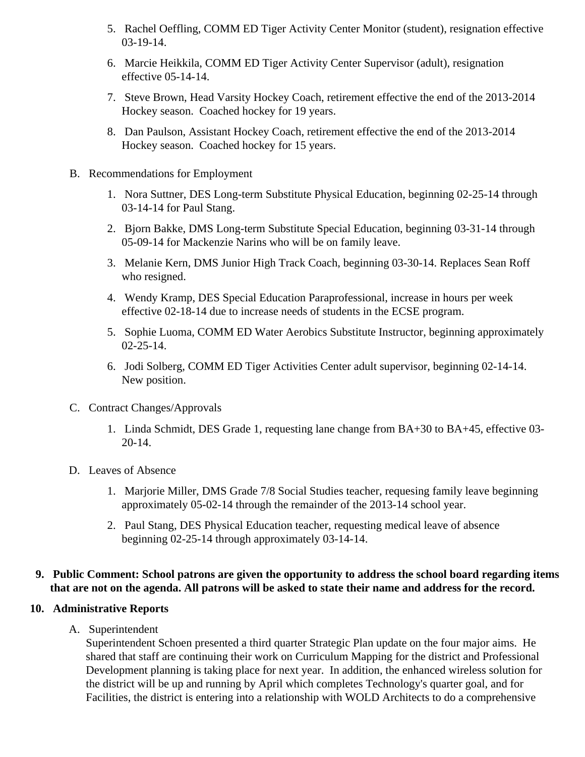- 5. Rachel Oeffling, COMM ED Tiger Activity Center Monitor (student), resignation effective 03-19-14.
- 6. Marcie Heikkila, COMM ED Tiger Activity Center Supervisor (adult), resignation effective 05-14-14.
- 7. Steve Brown, Head Varsity Hockey Coach, retirement effective the end of the 2013-2014 Hockey season. Coached hockey for 19 years.
- 8. Dan Paulson, Assistant Hockey Coach, retirement effective the end of the 2013-2014 Hockey season. Coached hockey for 15 years.
- B. Recommendations for Employment
	- 1. Nora Suttner, DES Long-term Substitute Physical Education, beginning 02-25-14 through 03-14-14 for Paul Stang.
	- 2. Bjorn Bakke, DMS Long-term Substitute Special Education, beginning 03-31-14 through 05-09-14 for Mackenzie Narins who will be on family leave.
	- 3. Melanie Kern, DMS Junior High Track Coach, beginning 03-30-14. Replaces Sean Roff who resigned.
	- 4. Wendy Kramp, DES Special Education Paraprofessional, increase in hours per week effective 02-18-14 due to increase needs of students in the ECSE program.
	- 5. Sophie Luoma, COMM ED Water Aerobics Substitute Instructor, beginning approximately 02-25-14.
	- 6. Jodi Solberg, COMM ED Tiger Activities Center adult supervisor, beginning 02-14-14. New position.
- C. Contract Changes/Approvals
	- 1. Linda Schmidt, DES Grade 1, requesting lane change from BA+30 to BA+45, effective 03- 20-14.
- D. Leaves of Absence
	- 1. Marjorie Miller, DMS Grade 7/8 Social Studies teacher, requesing family leave beginning approximately 05-02-14 through the remainder of the 2013-14 school year.
	- 2. Paul Stang, DES Physical Education teacher, requesting medical leave of absence beginning 02-25-14 through approximately 03-14-14.

## **9. Public Comment: School patrons are given the opportunity to address the school board regarding items that are not on the agenda. All patrons will be asked to state their name and address for the record.**

## **10. Administrative Reports**

A. Superintendent

Superintendent Schoen presented a third quarter Strategic Plan update on the four major aims. He shared that staff are continuing their work on Curriculum Mapping for the district and Professional Development planning is taking place for next year. In addition, the enhanced wireless solution for the district will be up and running by April which completes Technology's quarter goal, and for Facilities, the district is entering into a relationship with WOLD Architects to do a comprehensive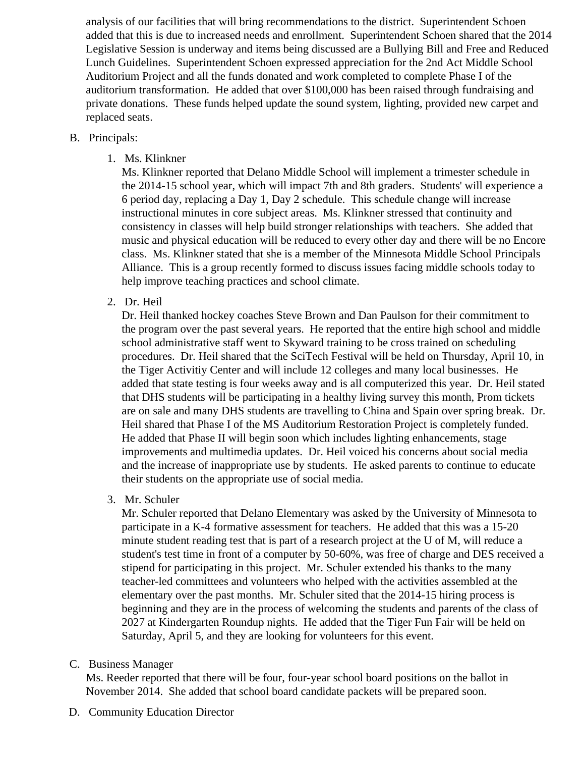analysis of our facilities that will bring recommendations to the district. Superintendent Schoen added that this is due to increased needs and enrollment. Superintendent Schoen shared that the 2014 Legislative Session is underway and items being discussed are a Bullying Bill and Free and Reduced Lunch Guidelines. Superintendent Schoen expressed appreciation for the 2nd Act Middle School Auditorium Project and all the funds donated and work completed to complete Phase I of the auditorium transformation. He added that over \$100,000 has been raised through fundraising and private donations. These funds helped update the sound system, lighting, provided new carpet and replaced seats.

### B. Principals:

1. Ms. Klinkner

Ms. Klinkner reported that Delano Middle School will implement a trimester schedule in the 2014-15 school year, which will impact 7th and 8th graders. Students' will experience a 6 period day, replacing a Day 1, Day 2 schedule. This schedule change will increase instructional minutes in core subject areas. Ms. Klinkner stressed that continuity and consistency in classes will help build stronger relationships with teachers. She added that music and physical education will be reduced to every other day and there will be no Encore class. Ms. Klinkner stated that she is a member of the Minnesota Middle School Principals Alliance. This is a group recently formed to discuss issues facing middle schools today to help improve teaching practices and school climate.

2. Dr. Heil

Dr. Heil thanked hockey coaches Steve Brown and Dan Paulson for their commitment to the program over the past several years. He reported that the entire high school and middle school administrative staff went to Skyward training to be cross trained on scheduling procedures. Dr. Heil shared that the SciTech Festival will be held on Thursday, April 10, in the Tiger Activitiy Center and will include 12 colleges and many local businesses. He added that state testing is four weeks away and is all computerized this year. Dr. Heil stated that DHS students will be participating in a healthy living survey this month, Prom tickets are on sale and many DHS students are travelling to China and Spain over spring break. Dr. Heil shared that Phase I of the MS Auditorium Restoration Project is completely funded. He added that Phase II will begin soon which includes lighting enhancements, stage improvements and multimedia updates. Dr. Heil voiced his concerns about social media and the increase of inappropriate use by students. He asked parents to continue to educate their students on the appropriate use of social media.

3. Mr. Schuler

Mr. Schuler reported that Delano Elementary was asked by the University of Minnesota to participate in a K-4 formative assessment for teachers. He added that this was a 15-20 minute student reading test that is part of a research project at the U of M, will reduce a student's test time in front of a computer by 50-60%, was free of charge and DES received a stipend for participating in this project. Mr. Schuler extended his thanks to the many teacher-led committees and volunteers who helped with the activities assembled at the elementary over the past months. Mr. Schuler sited that the 2014-15 hiring process is beginning and they are in the process of welcoming the students and parents of the class of 2027 at Kindergarten Roundup nights. He added that the Tiger Fun Fair will be held on Saturday, April 5, and they are looking for volunteers for this event.

## C. Business Manager

Ms. Reeder reported that there will be four, four-year school board positions on the ballot in November 2014. She added that school board candidate packets will be prepared soon.

D. Community Education Director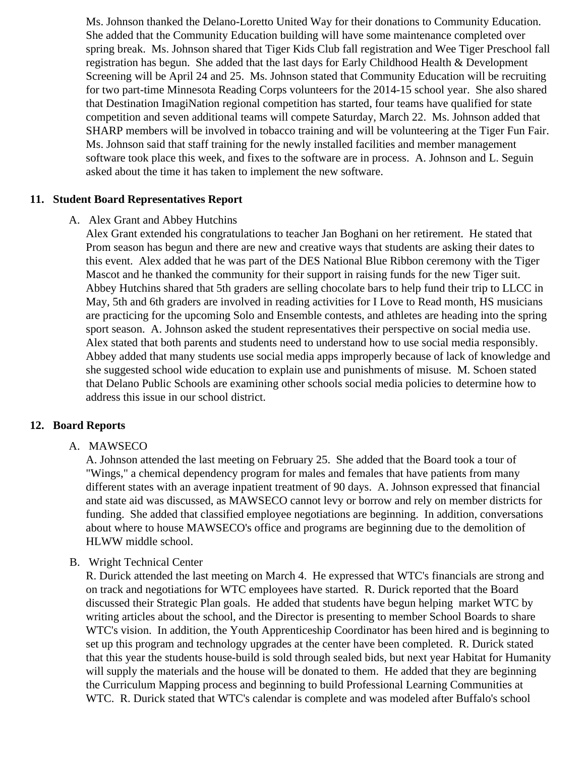Ms. Johnson thanked the Delano-Loretto United Way for their donations to Community Education. She added that the Community Education building will have some maintenance completed over spring break. Ms. Johnson shared that Tiger Kids Club fall registration and Wee Tiger Preschool fall registration has begun. She added that the last days for Early Childhood Health  $\&$  Development Screening will be April 24 and 25. Ms. Johnson stated that Community Education will be recruiting for two part-time Minnesota Reading Corps volunteers for the 2014-15 school year. She also shared that Destination ImagiNation regional competition has started, four teams have qualified for state competition and seven additional teams will compete Saturday, March 22. Ms. Johnson added that SHARP members will be involved in tobacco training and will be volunteering at the Tiger Fun Fair. Ms. Johnson said that staff training for the newly installed facilities and member management software took place this week, and fixes to the software are in process. A. Johnson and L. Seguin asked about the time it has taken to implement the new software.

#### **11. Student Board Representatives Report**

#### A. Alex Grant and Abbey Hutchins

Alex Grant extended his congratulations to teacher Jan Boghani on her retirement. He stated that Prom season has begun and there are new and creative ways that students are asking their dates to this event. Alex added that he was part of the DES National Blue Ribbon ceremony with the Tiger Mascot and he thanked the community for their support in raising funds for the new Tiger suit. Abbey Hutchins shared that 5th graders are selling chocolate bars to help fund their trip to LLCC in May, 5th and 6th graders are involved in reading activities for I Love to Read month, HS musicians are practicing for the upcoming Solo and Ensemble contests, and athletes are heading into the spring sport season. A. Johnson asked the student representatives their perspective on social media use. Alex stated that both parents and students need to understand how to use social media responsibly. Abbey added that many students use social media apps improperly because of lack of knowledge and she suggested school wide education to explain use and punishments of misuse. M. Schoen stated that Delano Public Schools are examining other schools social media policies to determine how to address this issue in our school district.

#### **12. Board Reports**

#### A. MAWSECO

A. Johnson attended the last meeting on February 25. She added that the Board took a tour of "Wings," a chemical dependency program for males and females that have patients from many different states with an average inpatient treatment of 90 days. A. Johnson expressed that financial and state aid was discussed, as MAWSECO cannot levy or borrow and rely on member districts for funding. She added that classified employee negotiations are beginning. In addition, conversations about where to house MAWSECO's office and programs are beginning due to the demolition of HLWW middle school.

#### B. Wright Technical Center

R. Durick attended the last meeting on March 4. He expressed that WTC's financials are strong and on track and negotiations for WTC employees have started. R. Durick reported that the Board discussed their Strategic Plan goals. He added that students have begun helping market WTC by writing articles about the school, and the Director is presenting to member School Boards to share WTC's vision. In addition, the Youth Apprenticeship Coordinator has been hired and is beginning to set up this program and technology upgrades at the center have been completed. R. Durick stated that this year the students house-build is sold through sealed bids, but next year Habitat for Humanity will supply the materials and the house will be donated to them. He added that they are beginning the Curriculum Mapping process and beginning to build Professional Learning Communities at WTC. R. Durick stated that WTC's calendar is complete and was modeled after Buffalo's school